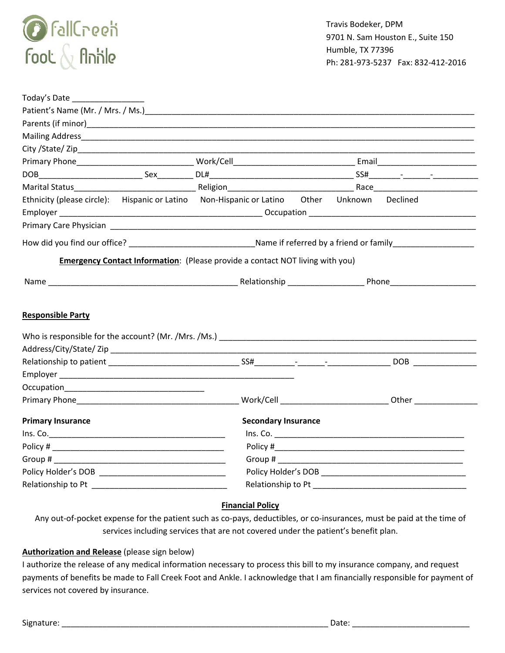

| Today's Date             |  |                                                                                             |                                                                                                                                                                                                                               |  |  |  |
|--------------------------|--|---------------------------------------------------------------------------------------------|-------------------------------------------------------------------------------------------------------------------------------------------------------------------------------------------------------------------------------|--|--|--|
|                          |  |                                                                                             |                                                                                                                                                                                                                               |  |  |  |
|                          |  |                                                                                             |                                                                                                                                                                                                                               |  |  |  |
|                          |  |                                                                                             |                                                                                                                                                                                                                               |  |  |  |
|                          |  |                                                                                             |                                                                                                                                                                                                                               |  |  |  |
|                          |  |                                                                                             |                                                                                                                                                                                                                               |  |  |  |
|                          |  |                                                                                             |                                                                                                                                                                                                                               |  |  |  |
|                          |  |                                                                                             |                                                                                                                                                                                                                               |  |  |  |
|                          |  | Ethnicity (please circle): Hispanic or Latino Non-Hispanic or Latino Other Unknown Declined |                                                                                                                                                                                                                               |  |  |  |
|                          |  |                                                                                             |                                                                                                                                                                                                                               |  |  |  |
|                          |  |                                                                                             |                                                                                                                                                                                                                               |  |  |  |
|                          |  |                                                                                             |                                                                                                                                                                                                                               |  |  |  |
|                          |  | Emergency Contact Information: (Please provide a contact NOT living with you)               |                                                                                                                                                                                                                               |  |  |  |
|                          |  |                                                                                             |                                                                                                                                                                                                                               |  |  |  |
|                          |  |                                                                                             |                                                                                                                                                                                                                               |  |  |  |
|                          |  |                                                                                             |                                                                                                                                                                                                                               |  |  |  |
| <b>Responsible Party</b> |  |                                                                                             |                                                                                                                                                                                                                               |  |  |  |
|                          |  |                                                                                             |                                                                                                                                                                                                                               |  |  |  |
|                          |  |                                                                                             |                                                                                                                                                                                                                               |  |  |  |
|                          |  |                                                                                             |                                                                                                                                                                                                                               |  |  |  |
|                          |  |                                                                                             |                                                                                                                                                                                                                               |  |  |  |
|                          |  |                                                                                             |                                                                                                                                                                                                                               |  |  |  |
|                          |  |                                                                                             |                                                                                                                                                                                                                               |  |  |  |
|                          |  |                                                                                             |                                                                                                                                                                                                                               |  |  |  |
| <b>Primary Insurance</b> |  | <b>Secondary Insurance</b>                                                                  |                                                                                                                                                                                                                               |  |  |  |
|                          |  |                                                                                             |                                                                                                                                                                                                                               |  |  |  |
|                          |  |                                                                                             |                                                                                                                                                                                                                               |  |  |  |
|                          |  |                                                                                             |                                                                                                                                                                                                                               |  |  |  |
|                          |  |                                                                                             |                                                                                                                                                                                                                               |  |  |  |
|                          |  |                                                                                             | Relationship to Pt and the state of the state of the state of the state of the state of the state of the state of the state of the state of the state of the state of the state of the state of the state of the state of the |  |  |  |
|                          |  |                                                                                             |                                                                                                                                                                                                                               |  |  |  |

## **Financial Policy**

Any out-of-pocket expense for the patient such as co-pays, deductibles, or co-insurances, must be paid at the time of services including services that are not covered under the patient's benefit plan.

#### **Authorization and Release** (please sign below)

I authorize the release of any medical information necessary to process this bill to my insurance company, and request payments of benefits be made to Fall Creek Foot and Ankle. I acknowledge that I am financially responsible for payment of services not covered by insurance.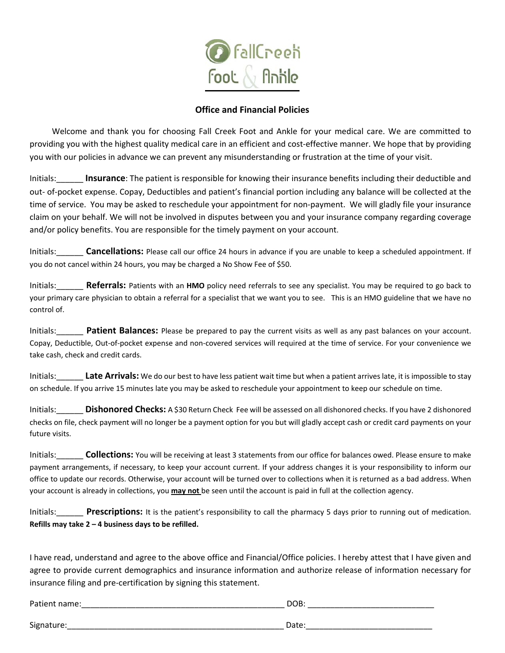

## **Office and Financial Policies**

Welcome and thank you for choosing Fall Creek Foot and Ankle for your medical care. We are committed to providing you with the highest quality medical care in an efficient and cost-effective manner. We hope that by providing you with our policies in advance we can prevent any misunderstanding or frustration at the time of your visit.

Initials:\_\_\_\_\_\_ **Insurance**: The patient is responsible for knowing their insurance benefits including their deductible and out‐ of‐pocket expense. Copay, Deductibles and patient's financial portion including any balance will be collected at the time of service. You may be asked to reschedule your appointment for non‐payment.We will gladly file your insurance claim on your behalf. We will not be involved in disputes between you and your insurance company regarding coverage and/or policy benefits. You are responsible for the timely payment on your account.

Initials:\_\_\_\_\_\_ **Cancellations:** Please call our office 24 hours in advance if you are unable to keep a scheduled appointment. If you do not cancel within 24 hours, you may be charged a No Show Fee of \$50.

Initials:\_\_\_\_\_\_ **Referrals:** Patients with an **HMO** policy need referrals to see any specialist. You may be required to go back to your primary care physician to obtain a referral for a specialist that we want you to see. This is an HMO guideline that we have no control of.

Initials:\_\_\_\_\_\_ **Patient Balances:** Please be prepared to pay the current visits as well as any past balances on your account. Copay, Deductible, Out‐of‐pocket expense and non‐covered services will required at the time of service. For your convenience we take cash, check and credit cards.

Initials:\_\_\_\_\_\_ **Late Arrivals:** We do our best to have less patient wait time but when a patient arrives late, it is impossible to stay on schedule. If you arrive 15 minutes late you may be asked to reschedule your appointment to keep our schedule on time.

Initials:\_\_\_\_\_\_ **Dishonored Checks:** A \$30 Return Check Fee will be assessed on all dishonored checks. If you have 2 dishonored checks on file, check payment will no longer be a payment option for you but will gladly accept cash or credit card payments on your future visits.

Initials:\_\_\_\_\_\_ **Collections:** You will be receiving at least 3 statements from our office for balances owed. Please ensure to make payment arrangements, if necessary, to keep your account current. If your address changes it is your responsibility to inform our office to update our records. Otherwise, your account will be turned over to collections when it is returned as a bad address. When your account is already in collections, you **may not** be seen until the account is paid in full at the collection agency.

Initials: **Prescriptions:** It is the patient's responsibility to call the pharmacy 5 days prior to running out of medication. **Refills may take 2 – 4 business days to be refilled.**

I have read, understand and agree to the above office and Financial/Office policies. I hereby attest that I have given and agree to provide current demographics and insurance information and authorize release of information necessary for insurance filing and pre‐certification by signing this statement.

| Patient name: | DOB:  |
|---------------|-------|
|               |       |
| Signature:    | Date: |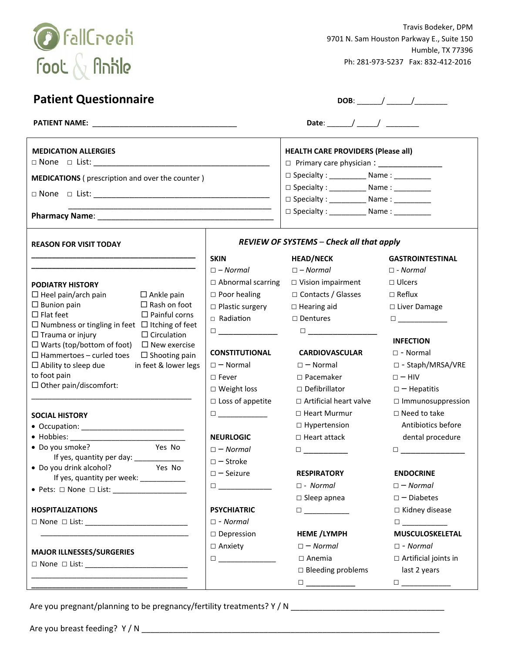

Travis Bodeker, DPM 9701 N. Sam Houston Parkway E., Suite 150 Humble, TX 77396 Ph: 281‐973‐5237 Fax: 832‐412‐2016

| <b>Patient Questionnaire</b>                                                                                        |                                                                                                                                                                                   |                                                                                                                                                                                   |                                                                                                                                                                                   |  |
|---------------------------------------------------------------------------------------------------------------------|-----------------------------------------------------------------------------------------------------------------------------------------------------------------------------------|-----------------------------------------------------------------------------------------------------------------------------------------------------------------------------------|-----------------------------------------------------------------------------------------------------------------------------------------------------------------------------------|--|
|                                                                                                                     |                                                                                                                                                                                   |                                                                                                                                                                                   |                                                                                                                                                                                   |  |
| <b>MEDICATION ALLERGIES</b>                                                                                         | <b>HEALTH CARE PROVIDERS (Please all)</b><br>□ Primary care physician : ___________________                                                                                       |                                                                                                                                                                                   |                                                                                                                                                                                   |  |
| <b>MEDICATIONS</b> (prescription and over the counter)                                                              |                                                                                                                                                                                   | □ Specialty : ____________ Name : __________                                                                                                                                      |                                                                                                                                                                                   |  |
|                                                                                                                     | □ Specialty : ____________ Name : __________<br>□ Specialty : ____________ Name : __________                                                                                      |                                                                                                                                                                                   |                                                                                                                                                                                   |  |
|                                                                                                                     |                                                                                                                                                                                   | □ Specialty : _____________ Name : __________                                                                                                                                     |                                                                                                                                                                                   |  |
|                                                                                                                     |                                                                                                                                                                                   |                                                                                                                                                                                   |                                                                                                                                                                                   |  |
| <b>REASON FOR VISIT TODAY</b>                                                                                       | <b>REVIEW OF SYSTEMS - Check all that apply</b>                                                                                                                                   |                                                                                                                                                                                   |                                                                                                                                                                                   |  |
|                                                                                                                     | <b>SKIN</b>                                                                                                                                                                       | <b>HEAD/NECK</b>                                                                                                                                                                  | <b>GASTROINTESTINAL</b>                                                                                                                                                           |  |
|                                                                                                                     | $\Box$ - Normal                                                                                                                                                                   | $\square$ - Normal                                                                                                                                                                | $\square$ - Normal                                                                                                                                                                |  |
| <b>PODIATRY HISTORY</b>                                                                                             | $\Box$ Abnormal scarring                                                                                                                                                          | □ Vision impairment                                                                                                                                                               | $\Box$ Ulcers                                                                                                                                                                     |  |
| $\Box$ Heel pain/arch pain<br>$\Box$ Ankle pain                                                                     | $\Box$ Poor healing                                                                                                                                                               | □ Contacts / Glasses                                                                                                                                                              | $\Box$ Reflux                                                                                                                                                                     |  |
| $\Box$ Rash on foot<br>$\Box$ Bunion pain                                                                           | $\Box$ Plastic surgery                                                                                                                                                            | $\Box$ Hearing aid                                                                                                                                                                | □ Liver Damage                                                                                                                                                                    |  |
| $\Box$ Flat feet<br>$\Box$ Painful corns                                                                            | □ Radiation                                                                                                                                                                       | □ Dentures                                                                                                                                                                        |                                                                                                                                                                                   |  |
| $\Box$ Numbness or tingling in feet $\Box$ Itching of feet                                                          | $\Box$                                                                                                                                                                            | $\Box$ and the set of $\Box$ and $\Box$ and $\Box$                                                                                                                                |                                                                                                                                                                                   |  |
| $\Box$ Circulation<br>$\Box$ Trauma or injury                                                                       |                                                                                                                                                                                   |                                                                                                                                                                                   | <b>INFECTION</b>                                                                                                                                                                  |  |
| $\Box$ Warts (top/bottom of foot)<br>$\Box$ New exercise<br>$\Box$ Hammertoes - curled toes<br>$\Box$ Shooting pain | <b>CONSTITUTIONAL</b>                                                                                                                                                             | <b>CARDIOVASCULAR</b>                                                                                                                                                             | $\square$ - Normal                                                                                                                                                                |  |
| $\Box$ Ability to sleep due<br>in feet & lower legs                                                                 | $\square$ - Normal                                                                                                                                                                | $\square$ - Normal                                                                                                                                                                | □ - Staph/MRSA/VRE                                                                                                                                                                |  |
| to foot pain                                                                                                        | $\square$ Fever                                                                                                                                                                   | $\Box$ Pacemaker                                                                                                                                                                  | $\square$ – HIV                                                                                                                                                                   |  |
| $\Box$ Other pain/discomfort:                                                                                       | $\Box$ Weight loss                                                                                                                                                                | $\Box$ Defibrillator                                                                                                                                                              | $\square$ - Hepatitis                                                                                                                                                             |  |
|                                                                                                                     | $\square$ Loss of appetite                                                                                                                                                        | □ Artificial heart valve                                                                                                                                                          | $\Box$ Immunosuppression                                                                                                                                                          |  |
|                                                                                                                     | $\begin{tabular}{ c c c c } \hline \quad \quad & \quad \quad & \quad \quad & \quad \quad \\ \hline \quad \quad & \quad \quad & \quad \quad & \quad \quad \\ \hline \end{tabular}$ | □ Heart Murmur                                                                                                                                                                    | $\square$ Need to take                                                                                                                                                            |  |
| <b>SOCIAL HISTORY</b>                                                                                               |                                                                                                                                                                                   | $\Box$ Hypertension                                                                                                                                                               | Antibiotics before                                                                                                                                                                |  |
|                                                                                                                     | <b>NEURLOGIC</b>                                                                                                                                                                  | $\Box$ Heart attack                                                                                                                                                               | dental procedure                                                                                                                                                                  |  |
| Yes No<br>· Do you smoke?                                                                                           | $\square$ - Normal                                                                                                                                                                | $\Box$ and $\Box$ and $\Box$ and $\Box$                                                                                                                                           |                                                                                                                                                                                   |  |
| If yes, quantity per day: _____________                                                                             |                                                                                                                                                                                   |                                                                                                                                                                                   | $\Box$ and $\Box$ and $\Box$ and $\Box$ and $\Box$                                                                                                                                |  |
| • Do you drink alcohol?<br>Yes No                                                                                   | $\square$ - Stroke                                                                                                                                                                |                                                                                                                                                                                   |                                                                                                                                                                                   |  |
| If yes, quantity per week: ____________                                                                             | $\square$ - Seizure                                                                                                                                                               | <b>RESPIRATORY</b>                                                                                                                                                                | <b>ENDOCRINE</b>                                                                                                                                                                  |  |
|                                                                                                                     |                                                                                                                                                                                   | $\square$ - Normal                                                                                                                                                                | $\square$ - Normal                                                                                                                                                                |  |
|                                                                                                                     |                                                                                                                                                                                   | $\square$ Sleep apnea                                                                                                                                                             | $\square$ - Diabetes                                                                                                                                                              |  |
| <b>HOSPITALIZATIONS</b>                                                                                             | <b>PSYCHIATRIC</b>                                                                                                                                                                | $\Box$                                                                                                                                                                            | $\Box$ Kidney disease                                                                                                                                                             |  |
|                                                                                                                     | $\square$ - Normal                                                                                                                                                                |                                                                                                                                                                                   | $\Box$                                                                                                                                                                            |  |
| <u> 1989 - Johann Barbara, martin amerikan personal (</u>                                                           | $\square$ Depression                                                                                                                                                              | <b>HEME /LYMPH</b>                                                                                                                                                                | MUSCULOSKELETAL                                                                                                                                                                   |  |
| <b>MAJOR ILLNESSES/SURGERIES</b>                                                                                    | $\Box$ Anxiety                                                                                                                                                                    | $\square$ - Normal                                                                                                                                                                | $\square$ - Normal                                                                                                                                                                |  |
| □ None □ List: ________________________________                                                                     |                                                                                                                                                                                   | $\Box$ Anemia                                                                                                                                                                     | $\Box$ Artificial joints in                                                                                                                                                       |  |
|                                                                                                                     |                                                                                                                                                                                   | $\square$ Bleeding problems                                                                                                                                                       | last 2 years                                                                                                                                                                      |  |
|                                                                                                                     |                                                                                                                                                                                   | $\begin{tabular}{ c c c c } \hline \quad \quad & \quad \quad & \quad \quad & \quad \quad \\ \hline \quad \quad & \quad \quad & \quad \quad & \quad \quad \\ \hline \end{tabular}$ | $\begin{tabular}{ c c c c } \hline \quad \quad & \quad \quad & \quad \quad & \quad \quad \\ \hline \quad \quad & \quad \quad & \quad \quad & \quad \quad \\ \hline \end{tabular}$ |  |
|                                                                                                                     |                                                                                                                                                                                   |                                                                                                                                                                                   |                                                                                                                                                                                   |  |

Are you pregnant/planning to be pregnancy/fertility treatments? Y / N \_\_\_\_\_\_\_\_\_\_\_\_\_\_\_\_\_\_\_\_\_\_\_\_\_\_\_\_\_\_\_\_\_\_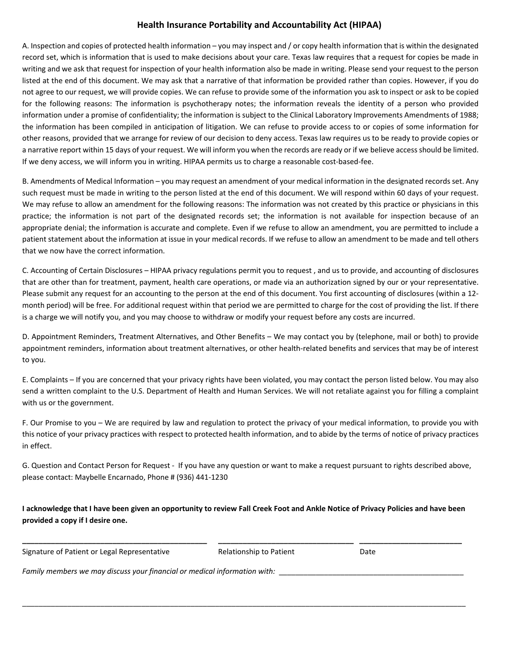## **Health Insurance Portability and Accountability Act (HIPAA)**

A. Inspection and copies of protected health information – you may inspect and / or copy health information that is within the designated record set, which is information that is used to make decisions about your care. Texas law requires that a request for copies be made in writing and we ask that request for inspection of your health information also be made in writing. Please send your request to the person listed at the end of this document. We may ask that a narrative of that information be provided rather than copies. However, if you do not agree to our request, we will provide copies. We can refuse to provide some of the information you ask to inspect or ask to be copied for the following reasons: The information is psychotherapy notes; the information reveals the identity of a person who provided information under a promise of confidentiality; the information is subject to the Clinical Laboratory Improvements Amendments of 1988; the information has been compiled in anticipation of litigation. We can refuse to provide access to or copies of some information for other reasons, provided that we arrange for review of our decision to deny access. Texas law requires us to be ready to provide copies or a narrative report within 15 days of your request. We will inform you when the records are ready or if we believe accessshould be limited. If we deny access, we will inform you in writing. HIPAA permits us to charge a reasonable cost‐based‐fee.

B. Amendments of Medical Information – you may request an amendment of your medical information in the designated recordsset. Any such request must be made in writing to the person listed at the end of this document. We will respond within 60 days of your request. We may refuse to allow an amendment for the following reasons: The information was not created by this practice or physicians in this practice; the information is not part of the designated records set; the information is not available for inspection because of an appropriate denial; the information is accurate and complete. Even if we refuse to allow an amendment, you are permitted to include a patient statement about the information at issue in your medical records. If we refuse to allow an amendment to be made and tell others that we now have the correct information.

C. Accounting of Certain Disclosures – HIPAA privacy regulations permit you to request , and us to provide, and accounting of disclosures that are other than for treatment, payment, health care operations, or made via an authorization signed by our or your representative. Please submit any request for an accounting to the person at the end of this document. You first accounting of disclosures (within a 12‐ month period) will be free. For additional request within that period we are permitted to charge for the cost of providing the list. If there is a charge we will notify you, and you may choose to withdraw or modify your request before any costs are incurred.

D. Appointment Reminders, Treatment Alternatives, and Other Benefits – We may contact you by (telephone, mail or both) to provide appointment reminders, information about treatment alternatives, or other health-related benefits and services that may be of interest to you.

E. Complaints – If you are concerned that your privacy rights have been violated, you may contact the person listed below. You may also send a written complaint to the U.S. Department of Health and Human Services. We will not retaliate against you for filling a complaint with us or the government.

F. Our Promise to you – We are required by law and regulation to protect the privacy of your medical information, to provide you with this notice of your privacy practices with respect to protected health information, and to abide by the terms of notice of privacy practices in effect.

G. Question and Contact Person for Request ‐ If you have any question or want to make a request pursuant to rights described above, please contact: Maybelle Encarnado, Phone # (936) 441‐1230

I acknowledge that I have been given an opportunity to review Fall Creek Foot and Ankle Notice of Privacy Policies and have been **provided a copy if I desire one.**

**\_\_\_\_\_\_\_\_\_\_\_\_\_\_\_\_\_\_\_\_\_\_\_\_\_\_\_\_\_\_\_\_\_\_\_\_\_\_\_\_\_\_\_\_\_ \_\_\_\_\_\_\_\_\_\_\_\_\_\_\_\_\_\_\_\_\_\_\_\_\_\_\_\_\_\_\_\_\_ \_\_\_\_\_\_\_\_\_\_\_\_\_\_\_\_\_\_\_\_\_\_\_\_\_**

\_\_\_\_\_\_\_\_\_\_\_\_\_\_\_\_\_\_\_\_\_\_\_\_\_\_\_\_\_\_\_\_\_\_\_\_\_\_\_\_\_\_\_\_\_\_\_\_\_\_\_\_\_\_\_\_\_\_\_\_\_\_\_\_\_\_\_\_\_\_\_\_\_\_\_\_\_\_\_\_\_\_\_\_\_\_\_\_\_\_\_\_\_\_\_\_\_\_\_\_\_\_\_\_\_\_\_\_

Signature of Patient or Legal Representative **8.1 A. S. A. S. A. A. S. A. S. A. S. A. S. A. S. A. S. A. S. A. S. A. S. A. S. A. S. A. S. A. S. A. S. A. S. A. S. A. S. A. S. A. S. A. S. A. S. A. S. A. S. A. S. A. S. A. S. A** 

*Family members we may discuss your financial or medical information with:* \_\_\_\_\_\_\_\_\_\_\_\_\_\_\_\_\_\_\_\_\_\_\_\_\_\_\_\_\_\_\_\_\_\_\_\_\_\_\_\_\_\_\_\_\_